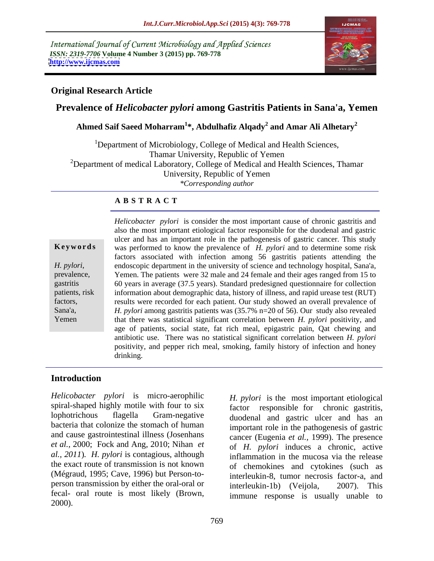International Journal of Current Microbiology and Applied Sciences *ISSN: 2319-7706* **Volume 4 Number 3 (2015) pp. 769-778 <http://www.ijcmas.com>**



# **Original Research Article**

# **Prevalence of** *Helicobacter pylori* **among Gastritis Patients in Sana'a, Yemen**

## **Ahmed Saif Saeed Moharram<sup>1</sup> \*, Abdulhafiz Alqady<sup>2</sup> and Amar Ali Alhetary<sup>2</sup>**

<sup>1</sup>Department of Microbiology, College of Medical and Health Sciences, Thamar University, Republic of Yemen  $2D$ epartment of medical Laboratory, College of Medical and Health Sciences, Thamar University, Republic of Yemen *\*Corresponding author*

# **A B S T R A C T**

Yemen

*Helicobacter pylori* is consider the most important cause of chronic gastritis and also the most important etiological factor responsible for the duodenal and gastric ulcer and has an important role in the pathogenesis of gastric cancer. This study **Keywords** was performed to know the prevalence of *H. pylori* and to determine some risk factors associated with infection among 56 gastritis patients attending the *H. pylori*, endoscopic department in the university of science and technology hospital, Sana'a, prevalence, Yemen. The patients were 32 male and 24 female and their ages ranged from 15 to Yemen. The patients were 32 male and 24 female and their ages ranged from 15 to 60 years in average (37.5 years). Standard predesigned questionnaire for collection gastritis information about demographic data, history of illness, and rapid urease test (RUT) patients, risk results were recorded for each patient. Our study showed an overall prevalence of factors, *H. pylori* among gastritis patients was (35.7% n=20 of 56). Our study also revealed Sana'a, that there was statistical significant correlation between *H. pylori* positivity, and age of patients, social state, fat rich meal, epigastric pain, Qat chewing and antibiotic use. There was no statistical significant correlation between *H. pylori* positivity, and pepper rich meal, smoking, family history of infection and honey drinking. The contract of the contract of the contract of the contract of the contract of the contract of the contract of the contract of the contract of the contract of the contract of the contract of the contract of the

# **Introduction**

*Helicobacter pylori* is micro-aerophilic spiral-shaped highly motile with four to six  $\frac{1}{\sqrt{2}}$  factor bacteria that colonize the stomach of human and cause gastrointestinal illness(Josenhans *et al.,* 2000; Fock and Ang, 2010; Nihan *et al., 2011*)*. H. pylori* is contagious, although the exact route of transmission is not known (Mégraud, 1995; Cave, 1996) but Person-to person transmission by either the oral-oral or interleukin-1b) (Veijola, 2007). This fecal- oral route is most likely (Brown, immune response is usually unable to *Helicobacter pylori* is micro-aerophilic *H. pylori* is the most important etiological spiral-shaped highly motile with four to six cloophortrichous flagella Gram-negative duodenal and gastric ulcer and has an important r

lophotrichous flagella Gram-negative duodenal and gastric ulcer and has an responsible for chronic gastritis, important role in the pathogenesis of gastric cancer (Eugenia *et al.,* 1999). The presence of *H. pylori* induces a chronic, active inflammation in the mucosa via the release of chemokines and cytokines (such as interleukin-8, tumor necrosis factor-a, and interleukin-1b) (Veijola,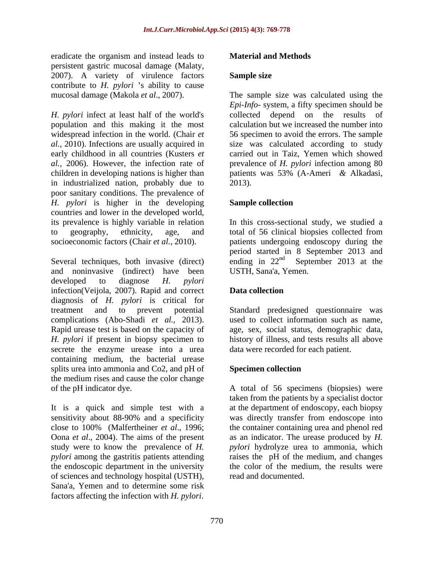eradicate the organism and instead leads to **Material and Methods** persistent gastric mucosal damage (Malaty, 2007). A variety of virulence factors **Sample size** contribute to *H. pylori* 's ability to cause

*H. pylori* infect at least half of the world's population and this making it the most widespread infection in the world. (Chair *et* 56 specimen to avoid the errors. The sample *al.,* 2010). Infections are usually acquired in early childhood in all countries (Kusters *et*  carried out in Taiz, Yemen which showed *al.,* 2006). However, the infection rate of prevalence of *H. pylori* infection among 80 children in developing nations is higher than  $\mu$  patients was 53% (A-Ameri & Alkadasi, in industrialized nation, probably due to poor sanitary conditions. The prevalence of *H. pylori* is higher in the developing countries and lower in the developed world,<br>its prevalence is highly variable in relation In this cross-sectional study, we studied a to geography, ethnicity, age, and total of 56 clinical biopsies collected from socioeconomic factors (Chair *et al.,* 2010). patients undergoing endoscopy during the evaluate the organism and investral cases. **Material and Methods**<br>
epersiones generalis and investred factors comparisons assumpt size was calculated using the<br>
countrive of  $H$ ,  $p_2$  in the interaction of the interaction

and noninvasive (indirect) have been developed to diagnose *H. pylori* infection(Veijola, 2007). Rapid and correct **Data collection** diagnosis of *H. pylori* is critical for treatment and to prevent potential Standard predesigned questionnaire was complications (Abo-Shadi *et al.,* 2013). used to collect information such as name, Rapid urease test is based on the capacity of age, sex, social status, demographic data, *H. pylori* if present in biopsy specimen to history of illness, and tests results all above secrete the enzyme urease into a urea containing medium, the bacterial urease splits urea into ammonia and Co2, and pH of the medium rises and cause the color change

It is a quick and simple test with a sensitivity about 88-90% and a specificity was directly transfer from endoscope into close to 100% (Malfertheiner *et al*., 1996; the container containing urea and phenol red Oona *et al*., 2004). The aims of the present study were to know the prevalence of *H. pylori* hydrolyze urea to ammonia, which *pylori* among the gastritis patients attending raises the pH of the medium, and changes the endoscopic department in the university of sciences and technology hospital (USTH), Sana'a, Yemen and to determine some risk

# **Sample size**

mucosal damage (Makola *et al*., 2007). The sample size was calculated using the *Epi-Info-* system, a fifty specimen should be collected depend on the results of calculation but we increased the number into size was calculated according to study patients was 53% (A-Ameri *&* Alkadasi, 2013).

# **Sample collection**

Several techniques, both invasive (direct) ending in  $22<sup>nd</sup>$  September 2013 at the In this cross-sectional study, we studied a period started in 8 September 2013 and USTH, Sana'a, Yemen.

# **Data collection**

data were recorded for each patient.

# **Specimen collection**

of the pH indicator dye. A total of 56 specimens (biopsies) were taken from the patients by a specialist doctor at the department of endoscopy, each biopsy was directly transfer from endoscope into as an indicator. The urease produced by *H.*  the color of the medium, the results were read and documented.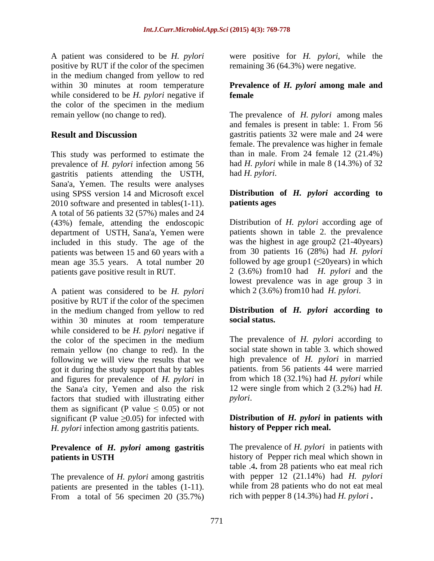A patient was considered to be *H. pylori* were positive for *H. pylori*, while the positive by RUT if the color of the specimen in the medium changed from yellow to red within 30 minutes at room temperature **Prevalence of** *H. pylori* **among male and** while considered to be *H. pylori* negative if **female** the color of the specimen in the medium

This study was performed to estimate the prevalence of *H. pylori* infection among 56 gastritis patients attending the USTH, Sana'a, Yemen. The results were analyses using SPSS version 14 and Microsoft excel **Distribution**  $2010$  software and presented in tables $(1-11)$ . **patients ages** 2010 software and presented in tables(1-11). A total of 56 patients 32 (57%) males and 24 (43%) female, attending the endoscopic department of USTH, Sana'a, Yemen were included in this study. The age of the patients was between 15 and 60 years with a mean age 35.5 years. A total number 20 patients gave positive result in RUT. 2 (3.6%) from10 had *H. pylori* and the

A patient was considered to be *H. pylori* positive by RUT if the color of the specimen in the medium changed from yellow to red<br>within 30 minutes at room temperature social status. within 30 minutes at room temperature while considered to be *H. pylori* negative if the color of the specimen in the medium remain yellow (no change to red). In the following we will view the results that we got it during the study support that by tables and figures for prevalence of *H. pylori* in the Sana'a city, Yemen and also the risk factors that studied with illustrating either *pylori*. them as significant (P value  $\leq 0.05$ ) or not significant (P value  $\geq 0.05$ ) for infected with *H. pylori* infection among gastritis patients.

# **Prevalence of** *H. pylori* **among gastritis**

The prevalence of *H. pylori* among gastritis patients are presented in the tables (1-11). From a total of 56 specimen 20 (35.7%) remaining 36 (64.3%) were negative.

# **female**

remain yellow (no change to red). The prevalence of *H. pylori* among males **Result and Discussion gastritis patients 32 were male and 24 were** and females is present in table: 1. From 56 female. The prevalence was higher in female than in male. From 24 female  $12$   $(21.4\%)$ had *H. pylori* while in male 8 (14.3%) of 32 had *H. pylori*.

# **Distribution of** *H. pylori* **according to patients ages**

Distribution of *H. pylori* according age of patients shown in table 2. the prevalence was the highest in age group2 (21-40years) from 30 patients 16 (28%) had *H. pylori* followed by age group1  $(\leq 20$ years) in which lowest prevalence was in age group 3 in which 2 (3.6%) from10 had *H. pylori*.

# **Distribution of** *H. pylori* **according to social status.**

The prevalence of *H. pylori* according to social state shown in table 3. which showed high prevalence of *H. pylori* in married patients. from 56 patients 44 were married from which 18 (32.1%) had *H. pylori* while 12 were single from which 2 (3.2%) had *H. pylori*.

# **Distribution of** *H. pylori* **in patients with history of Pepper rich meal.**

**patients in USTH history of Pepper rich meal which shown in** The prevalence of *H. pylori* in patients with history of Pepper rich meal which shown in table .4**.** from 28 patients who eat meal rich with pepper 12 (21.14%) had *H. pylori* while from 28 patients who do not eat meal rich with pepper 8 (14.3%) had *H. pylori* **.**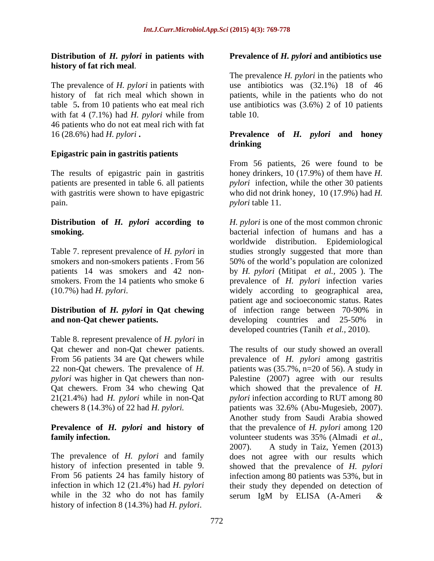with fat 4 (7.1%) had *H. pylori* while from table 10. 46 patients who do not eat meal rich with fat

smokers. From the 14 patients who smoke 6 (10.7%) had *H. pylori*.

# **and non-Oat chewer patients.** developing countries and 25-50% in

Table 8. represent prevalence of *H. pylori* in Qat chewer and non-Qat chewer patients. The results of our study showed an overall

# **Prevalence of** *H. pylori* **and history of family infection.** volunteer students was 35% (Almadi *et al.*,

while in the 32 who do not has family serum IgM by ELISA (A-Ameri  $\&$ history of infection 8 (14.3%) had *H. pylori*.

# **Distribution of** *H. pylori* **in patients with Prevalence of** *H. pylori* **and antibiotics use**

**history of fat rich meal.**<br>The prevalence *H. pylori* in the patients who<br>The prevalence of *H. pylori* in patients with use antibiotics was (32.1%) 18 of 46 history of fat rich meal which shown in patients, while in the patients who do not table 5**.** from 10 patients who eat meal rich use antibiotics was (3.6%) 2 of 10 patients The prevalence *H. pylori* in the patients who use antibiotics was (32.1%) 18 of 46 table 10.

# 16 (28.6%) had *H. pylori* **. hetable in the set of** *H. pylori* **and honey drinking by the set of** *H. pylori* **and honey drinking <b>Epigastric pain in gastritis patients Prevalence of** *H. pylori* **and honey drinking**

The results of epigastric pain in gastritis honey drinkers, 10 (17.9%) of them have *H.*  patients are presented in table 6. all patients *pylori* infection, while the other 30 patients with gastritis were shown to have epigastric who did not drink honey, 10 (17.9%) had *H*. pain. *pylori* table 11. From 56 patients, 26 were found to be

**Distribution of** *H. pylori* **according to** *H. pylori* is one of the most common chronic **smoking. bacterial infection of humans and has a** Table 7. represent prevalence of *H. pylori* in studies strongly suggested that more than smokers and non-smokers patients . From 56 50% of the world's population are colonized patients 14 was smokers and 42 non- by *H. pylori* (Mitipat *et al.,* 2005 ). The **Distribution of** *H. pylori* **in Qat chewing** worldwide distribution. Epidemiological prevalence of *H. pylori* infection varies widely according to geographical area, patient age and socioeconomic status. Rates of infection range between 70-90% in developing countries and 25-50% in

From 56 patients 34 are Qat chewers while prevalence of *H. pylori* among gastritis 22 non-Qat chewers. The prevalence of *H.*  patients was (35.7%, n=20 of 56). A study in *pylori* was higher in Qat chewers than non- Palestine (2007) agree with our results Qat chewers. From 34 who chewing Qat which showed that the prevalence of *H.*  21(21.4%) had *H. pylori* while in non-Qat *pylori* infection according to RUT among 80 chewers 8 (14.3%) of 22 had *H. pylori.* patients was 32.6% (Abu-Mugesieb, 2007). The prevalence of *H. pylori* and family does not agree with our results which history of infection presented in table 9. showed that the prevalence of *H. pylori* From 56 patients 24 has family history of infection among 80 patients was 53%, but in infection in which 12 (21.4%) had *H. pylori* their study they depended on detection of developed countries (Tanih *et al.*, 2010).<br>The results of our study showed an overall Another study from Saudi Arabia showed that the prevalence of *H. pylori* among 120 volunteer students was 35% (Almadi *et al.,* 2007). A study in Taiz, Yemen (2013) serum IgM by ELISA (A-Ameri *&*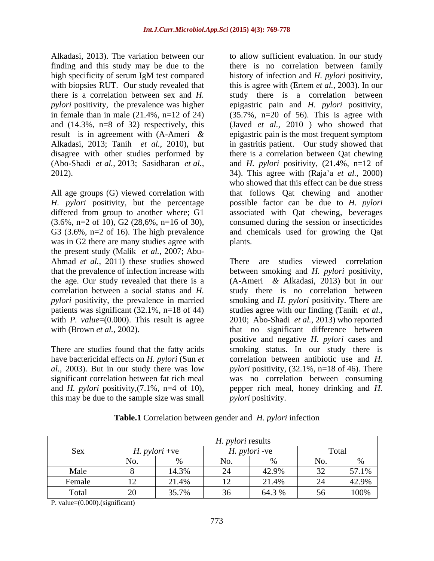Alkadasi, 2013). The variation between our to allow sufficient evaluation. In our study *pylori* positivity, the prevalence was higher epigastric pain and *H. pylori* positivity, in female than in male  $(21.4\%, n=12 \text{ of } 24)$   $(35.7\%, n=20 \text{ of } 56)$ . This is agree with disagree with other studies performed by

was in G2 there are many studies agree with plants. the present study (Malik *et al.,* 2007; Abu- Ahmad *et al.,* 2011) these studies showed that the prevalence of infection increase with between smoking and H, *pylori* positivity, the age. Our study revealed that there is a  $(A-Ameri \& Alkadasi, 2013)$  but in our *pylori* positivity, the prevalence in married

have bactericidal effects on *H. pylori* (Sun *et*  this may be due to the sample size was small

finding and this study may be due to the there is no correlation between family high specificity of serum IgM test compared history of infection and H. pylori positivity, with biopsies RUT. Our study revealed that this is agree with (Ertem *et al.*, 2003). In our there is a correlation between sex and *H.*  study there is a correlation between and (14.3%, n=8 of 32) respectively, this (Javed *et al.,* 2010 ) who showed that result is in agreement with (A-Ameri *&* epigastric pain is the most frequent symptom Alkadasi, 2013; Tanih *et al.,* 2010), but in gastritis patient. Our study showed that (Abo-Shadi *et al.,* 2013; Sasidharan *et al.,* and *H. pylori* positivity, (21.4%, n=12 of 2012).<br>
2012).  $\begin{aligned}\n &34)$ . This agree with (Raja'a *et al.*, 2000)<br>
2012). Who showed that this effect can be due stress<br>
All age groups (G) viewed correlation with that follows Qat chewing and another *H. pylori* positivity, but the percentage possible factor can be due to *H. pylori* differed from group to another where; G1 associated with Qat chewing, beverages  $(3.6\%, n=2 \text{ of } 10)$ ,  $G2$   $(28.6\%, n=16 \text{ of } 30)$ , consumed during the session or insecticides G3 (3.6%, n=2 of 16). The high prevalence and chemicals used for growing the Qat history of infection and *H. pylori* positivity, epigastric pain and *H. pylori* positivity,(35.7%, n=20 of 56). This is agree with there is a correlation between Qat chewing 34). This agree with (Raja a *et al.,* 2000) who showed that this effect can be due stress that follows Qat chewing and another plants.

correlation between a social status and *H*. Study there is no correlation between patients was significant (32.1%, n=18 of 44) studies agree with our finding (Tanih *et al.*, with *P. value*=(0.000). This result is agree 2010; Abo-Shadi *et al.*, 2013) who reported with (Brown *et al.*, 2002). That no significant difference between positive and negative *H. pylori* cases and<br>There are studies found that the fatty acids smoking status. In our study there is *al.,* 2003). But in our study there was low *pylori* positivity, (32.1%, n=18 of 46). There significant correlation between fat rich meal was no correlation between consuming and *H. pylori* positivity,(7.1%, n=4 of 10), pepper rich meal, honey drinking and *H.*  There are studies viewed correlation between smoking and *H. pylori* positivity, (A-Ameri *&* Alkadasi, 2013) but in our smoking and *H. pylori* positivity. There are positive and negative *H. pylori* cases and smoking status. In our study there is correlation between antibiotic use and *H. pylori* positivity.

| Sex    | $\overline{\phantom{a}}$ |        | $\sqrt{ }$ | <i>pylori</i> -ve |    | Total |
|--------|--------------------------|--------|------------|-------------------|----|-------|
|        |                          |        |            |                   |    |       |
| Male   |                          | 14.3%  |            | 42.9%             |    | 57.1% |
| Female | $\sqrt{10}$              | 21.404 |            | 2.1.4%            |    | 42.9% |
| Total  | $\Omega$<br>$\sim$       | 35.7%  | $\cup$     | 64.3%             | 56 | 100%  |

**Table.1** Correlation between gender and *H. pylori* infection

P. value=(0.000).(significant)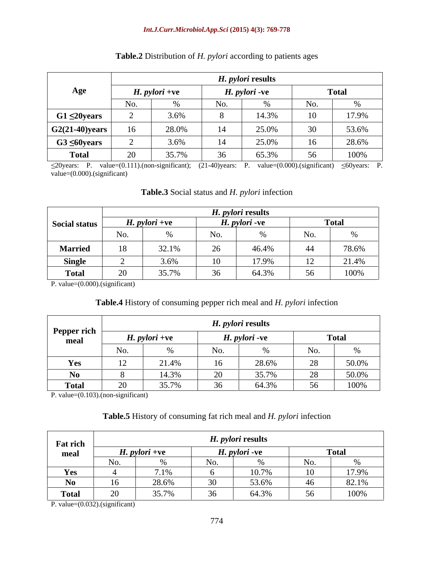## *Int.J.Curr.Microbiol.App.Sci* **(2015) 4(3): 769-778**

|                        |                 |                 |                 | <i>H. pylori</i> results |                |              |
|------------------------|-----------------|-----------------|-----------------|--------------------------|----------------|--------------|
| Age                    |                 | $H.$ pylori +ve |                 | H. <i>pylori</i> -ve     |                | <b>Total</b> |
|                        | No.             |                 |                 |                          | NO.            |              |
| $G1 \leq 20$ years     |                 | 3.6%            |                 | 14.3%                    | 1 <sub>0</sub> | 17.9%        |
| $\vert$ G2(21-40)years | 16 <sup>1</sup> | 28.0%           | $\overline{14}$ | 25.0%                    | 20<br>JU       | 53.6%        |
| $G3 \leq 60$ years     |                 | 3.6%            |                 | 25.0%                    |                | 28.6%        |
| <b>Total</b>           | ററ<br>$\sim$    | 35.7%           | U               | 65.3%                    | 56             | 100%         |

# **Table.2** Distribution of *H. pylori* according to patients ages

 $\leq$ 20years: P. value=(0.111).(non-significant); (21-40)years: P. value=(0.000).(significant)  $\leq$ 60years: P. value=(0.000).(significant)

|                     |               |                  |                                      | <i>H. pylori</i> results |                     |                 |
|---------------------|---------------|------------------|--------------------------------------|--------------------------|---------------------|-----------------|
| Social status       |               | $H.$ pylori +ve  |                                      | <i>H. pylori</i> -ve     |                     | Total           |
|                     |               |                  |                                      |                          | $\mathbf{N}$        |                 |
| <b>Married</b>      | $\sim$        | 3210%<br>$J = 1$ | $\Omega$<br>$\overline{\phantom{0}}$ | 46.4%                    |                     | 78.6%<br>10.070 |
| $C_{\text{in}}$ ala |               |                  |                                      | 17 0%                    |                     | 21.4%           |
| <b>Total</b>        | $\sim$ $\sim$ | 35.70%<br>JJ.II  | 36<br>$\sim$ $\sim$                  | 64.3%                    | 56<br>$\sim$ $\sim$ | 100%            |

## **Table.3** Social status and *H. pylori* infection

P. value=(0.000).(significant)

# **Table.4** History of consuming pepper rich meal and *H. pylori* infection

|                     |                                           |                         | H. pylori results |                       |               |       |
|---------------------|-------------------------------------------|-------------------------|-------------------|-----------------------|---------------|-------|
| Pepper rich<br>шсаі |                                           | $\therefore$ pylori +ve |                   | <i>H. pylori</i> -ve  | <b>Total</b>  |       |
|                     |                                           |                         |                   |                       |               |       |
| Yes                 | $\sim$ $\sim$<br>$\overline{\phantom{0}}$ | 21.40/                  | 16                | 28.6%                 | $\sim$        | 50.0% |
| No.<br><b>IVU</b>   |                                           | 14.30%                  | $\cap$            |                       | $\sim$ $\sim$ | 50.0% |
| <b>Total</b>        |                                           | $\Omega E$ 70/          | $\sim$            | 64 3%<br>$0 + 0 = 70$ | 56<br>$  -$   | 100%  |

P. value=(0.103).(non-significant)

# **Table.5** History of consuming fat rich meal and *H. pylori* infection

| <b>Fat rich</b> |                             |                               |                         | H. <i>pylori</i> results |                      |       |
|-----------------|-----------------------------|-------------------------------|-------------------------|--------------------------|----------------------|-------|
| mea.            | $\boldsymbol{\Pi}$ . pylor. | $\boldsymbol{H}$ . pylori +ve | <b>TT</b>               | <i>. pylori</i> -ve      |                      | Totar |
|                 |                             |                               |                         |                          |                      |       |
| Yes             |                             |                               |                         | $\bigcap$ $\bigcap$      |                      | 17.9% |
| $\mathbf{N}$    | 1<                          | 28.6%                         |                         | 53.6%                    |                      | 82.1% |
| <b>Total</b>    | $\Omega$                    | 35.7%                         | $\sim$<br>$\sim$ $\sim$ | 61.306<br>$0 + 0 = 70$   | -56<br>$\cup$ $\cup$ | 100%  |

P. value=(0.032).(significant)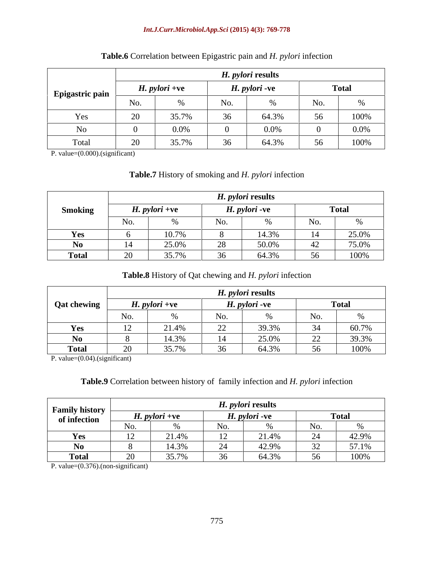## *Int.J.Curr.Microbiol.App.Sci* **(2015) 4(3): 769-778**

|                 |    |                      |      | H. <i>pylori</i> results |                     |              |
|-----------------|----|----------------------|------|--------------------------|---------------------|--------------|
| Epigastric pain |    | <i>H. pylori</i> +ve |      | H. <i>pylori</i> -ve     |                     | <b>Total</b> |
|                 |    |                      | 110. |                          | N I o               |              |
| 1C2             |    | 25.70                |      | 64.3%                    | 56                  | 100%         |
|                 |    | $0.0\%$              |      |                          |                     | $0.0\%$      |
| Total           | 20 | 35.7%                |      | 64.3%                    | 56<br>$\sim$ $\sim$ | 100%         |

# **Table.6** Correlation between Epigastric pain and *H. pylori* infection

P. value=(0.000).(significant)

# **Table.7** History of smoking and *H. pylori* infection

|                |                      |                      |          | <i>H. pylori</i> results |       |                                      |
|----------------|----------------------|----------------------|----------|--------------------------|-------|--------------------------------------|
| <b>Smoking</b> |                      | <i>H. pylori</i> +ve |          | <i>H. pylori -</i> ve    |       | $T_{\alpha\uparrow\alpha}$<br>1 Utal |
|                | $N_{\Omega}$<br>110. |                      | No.      |                          |       |                                      |
| <b>Yes</b>     |                      | 10.7%                |          | 14.3%                    |       | 25.0%                                |
| N0             |                      | 25.0%                | ററ<br>∠∪ | 50.004<br>30.07          |       | 75.0%                                |
| <b>Total</b>   |                      | 25.70/               |          | 64.3%                    | -56 - | 100%                                 |

# **Table.8** History of Qat chewing and *H. pylori* infection

|                    |              |                        |                          | <i>H. pylori</i> results |                     |               |
|--------------------|--------------|------------------------|--------------------------|--------------------------|---------------------|---------------|
| <b>Qat chewing</b> |              | $H.$ <i>pylori</i> +ve |                          | H. <i>pylori</i> -ve     |                     | <b>Total</b>  |
|                    |              |                        | ◝◠<br>11 V.              |                          |                     | $\sim$ $\sim$ |
| Yes                | $\mathbf{1}$ | 21.4%                  | $\overline{\phantom{a}}$ | 20.291                   | $\bigcap$ $\bigcap$ | 60.7%         |
| N0-                |              | 14.3%                  |                          | 25.0%                    | $\Delta$            | 39.3%         |
| Total              |              | 35.7%                  |                          | 64.3%                    | - 56                | 100%          |

P. value=(0.04).(significant)

# **Table.9** Correlation between history of family infection and *H. pylori* infection

| <b>Family history</b> |                                                      |                                                          | I. <i>pylori</i> results |              |       |
|-----------------------|------------------------------------------------------|----------------------------------------------------------|--------------------------|--------------|-------|
| of infection          | $\boldsymbol{\mu}$ . pylori +v $\boldsymbol{\gamma}$ | $\boldsymbol{\Lambda}$ . pylori -v $\boldsymbol{\Theta}$ |                          | <b>Total</b> |       |
|                       |                                                      |                                                          |                          |              |       |
|                       | 21.4%                                                | $\overline{1}$                                           | $A \Omega$               |              | 42.9% |
|                       | 14.3%                                                |                                                          | 12.00                    |              | 5710/ |
| ^4^!                  | $\gamma$ $\epsilon$ $\pi$                            |                                                          | 64.3%                    | 56           | 100%  |

P. value=(0.376).(non-significant)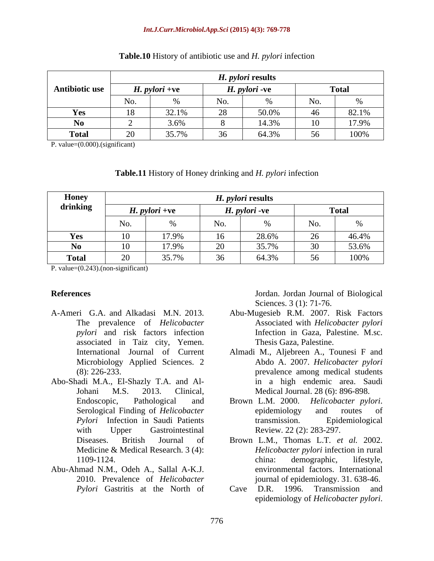## *Int.J.Curr.Microbiol.App.Sci* **(2015) 4(3): 769-778**

|                |        |                     |               | <i>H. pylori</i> results            |                 |              |
|----------------|--------|---------------------|---------------|-------------------------------------|-----------------|--------------|
| Antibiotic use |        | $H.$ pylori +ve     |               | H. <i>pylori</i> -ve                |                 | <b>Total</b> |
|                |        |                     |               |                                     | $N_{\Omega}$    |              |
|                |        | 22.10               |               | 50.0%                               |                 | 82.1%        |
|                |        | 3.6%                |               | $\Delta$ $\Delta$ $\Delta$ $\Delta$ | $\overline{10}$ | 17.9%        |
| <b>Total</b>   | $\sim$ | $25.70$ /<br>33.170 | $\sim$ $\sim$ | 64.3%                               | 56              | 100%         |

## **Table.10** History of antibiotic use and *H. pylori* infection

| Table.11 History<br>.<br>$\mathbf{u}$ <i>u pylori</i> infection<br>, of Honey<br>$\dim$ and $H_{\cdot}$ . |  |
|-----------------------------------------------------------------------------------------------------------|--|
|                                                                                                           |  |

|                                         |                |                                                                          |          | H. <i>pylori</i> results |                          |                                                                        |
|-----------------------------------------|----------------|--------------------------------------------------------------------------|----------|--------------------------|--------------------------|------------------------------------------------------------------------|
| <b>Antibiotic use</b>                   |                | $H.$ pylori +ve                                                          |          | H. <i>pylori</i> -ve     |                          | <b>Total</b>                                                           |
|                                         | No.            |                                                                          | No.      |                          | No.                      | $\%$                                                                   |
| Yes                                     | 18             | 32.1%                                                                    | 28       | 50.0%                    | 46                       | 82.1%                                                                  |
| No                                      |                | 3.6%                                                                     | - 8      | 14.3%                    | 10                       | 17.9%                                                                  |
| <b>Total</b>                            | 20             | 35.7%                                                                    | 36       | 64.3%                    | 56                       | 100%                                                                   |
| P. value= $(0.000)$ .(significant)      |                |                                                                          |          |                          |                          |                                                                        |
|                                         |                |                                                                          |          |                          |                          |                                                                        |
|                                         |                | <b>Table.11</b> History of Honey drinking and <i>H. pylori</i> infection |          |                          |                          |                                                                        |
|                                         |                |                                                                          |          |                          |                          |                                                                        |
| <b>Honey</b>                            |                |                                                                          |          | H. <i>pylori</i> results |                          |                                                                        |
| drinking                                |                | $H.$ pylori +ve                                                          |          | H. <i>pylori</i> -ve     |                          | <b>Total</b>                                                           |
|                                         |                |                                                                          |          |                          |                          |                                                                        |
|                                         | No.            |                                                                          | No.      |                          | No.                      |                                                                        |
| Yes                                     | $10^{-}$       | 17.9%                                                                    | 16       | 28.6%                    | 26                       | 46.4%                                                                  |
| <b>No</b><br><b>Total</b>               | $10^{-}$<br>20 | 17.9%                                                                    | 20<br>36 | 35.7%                    | 30                       | 53.6%                                                                  |
| P. value= $(0.243)$ . (non-significant) |                | 35.7%                                                                    |          | 64.3%                    | 56                       | 100%                                                                   |
|                                         |                |                                                                          |          |                          |                          |                                                                        |
|                                         |                |                                                                          |          |                          |                          |                                                                        |
| <b>References</b>                       |                |                                                                          |          |                          |                          | Jordan. Jordan Journal of Biological                                   |
|                                         |                | A-Ameri G.A. and Alkadasi M.N. 2013.                                     |          |                          | Sciences. 3 (1): 71-76.  | Abu-Mugesieb R.M. 2007. Risk Factors                                   |
|                                         |                | The prevalence of Helicobacter                                           |          |                          |                          | Associated with Helicobacter pylori                                    |
|                                         |                | pylori and risk factors infection                                        |          |                          |                          | Infection in Gaza, Palestine. M.sc.                                    |
|                                         |                | associated in Taiz city, Yemen.                                          |          |                          | Thesis Gaza, Palestine.  |                                                                        |
|                                         |                | International Journal of Current                                         |          |                          |                          | Almadi M., Aljebreen A., Tounesi F and                                 |
|                                         |                | Microbiology Applied Sciences. 2                                         |          |                          |                          | Abdo A. 2007. Helicobacter pylori                                      |
| $(8)$ : 226-233.                        |                |                                                                          |          |                          |                          | prevalence among medical students                                      |
|                                         |                | Abo-Shadi M.A., El-Shazly T.A. and Al-<br>Johani M.S. 2013. Clinical,    |          |                          |                          | in a high endemic area. Saudi<br>Medical Journal. 28 (6): 896-898.     |
|                                         |                | Endoscopic, Pathological and                                             |          |                          |                          | Brown L.M. 2000. Helicobacter pylori.                                  |
|                                         |                | Serological Finding of Helicobacter                                      |          |                          |                          | epidemiology and routes of                                             |
|                                         |                | Pylori Infection in Saudi Patients                                       |          |                          |                          | transmission. Epidemiological                                          |
| with                                    |                | Upper Gastrointestinal                                                   |          |                          | Review. 22 (2): 283-297. |                                                                        |
|                                         |                | Diseases. British Journal of                                             |          |                          |                          | Brown L.M., Thomas L.T. et al. 2002.                                   |
|                                         |                | Medicine & Medical Research. 3 (4):                                      |          |                          |                          | Helicobacter pylori infection in rural                                 |
| 1109-1124.                              |                | Abu-Ahmad N.M., Odeh A., Sallal A-K.J.                                   |          |                          |                          | china: demographic, lifestyle,<br>environmental factors. International |
|                                         |                | 2010. Prevalence of Helicobacter                                         |          |                          |                          | journal of epidemiology. 31. 638-46.                                   |
|                                         |                | Pylori Gastritis at the North of                                         |          |                          |                          | Cave D.R. 1996. Transmission and                                       |
|                                         |                |                                                                          |          |                          |                          | epidemiology of Helicobacter pylori.                                   |

- *pylori* and risk factors infection associated in Taiz city, Yemen.
- Abo-Shadi M.A., El-Shazly T.A. and Al- *Pylori* Infection in Saudi Patients
- Abu-Ahmad N.M., Odeh A., Sallal A-K.J. *Pylori* Gastritis at the North of Cave D.R. 1996. Transmission and

- A-Ameri G.A. and Alkadasi M.N. 2013. Abu-Mugesieb R.M. 2007. Risk Factors The prevalence of *Helicobacter*  Associated with *Helicobacter pylori* Infection in Gaza, Palestine. M.sc. Thesis Gaza, Palestine.
	- International Journal of Current Almadi M., Aljebreen A., Tounesi F and Microbiology Applied Sciences. 2 Abdo A. 2007. *Helicobacter pylori* (8): 226-233. prevalence among medical students Johani M.S. 2013. Clinical, in a high endemic area. Saudi
	- Endoscopic, Pathological and Brown L.M. 2000. Helicobacter pylori. Serological Finding of *Helicobacter* **epidemiology** and routes of with Upper Gastrointestinal Review. 22 (2): 283-297. Medical Journal. 28 (6): 896-898. Brown L.M. 2000. *Helicobacter pylori*. epidemiology and routes of **Epidemiological**
	- Diseases. British Journal of Brown L.M., Thomas L.T. et al. 2002. Medicine & Medical Research. 3 (4): *Helicobacter pylori* infection in rural 1109-1124. china: demographic, lifestyle, 2010. Prevalence of *Helicobacter*  journal of epidemiology. 31. 638-46. Review. 22 (2): 283-297. Brown L.M., Thomas L.T*. et al.* 2002. china: demographic, lifestyle, environmental factors. International
		- Cave D.R. 1996. Transmission and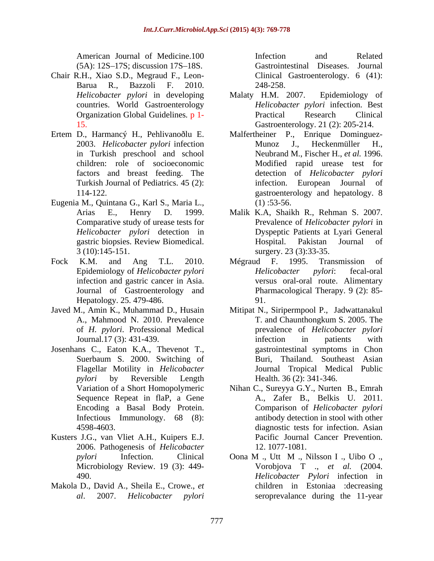$(5A): 12S-17S;$  discussion  $17S-18S.$ 

- Chair R.H., Xiao S.D., Megraud F., Leon- Barua R., Bazzoli F. 2010.
- 
- Eugenia M., Quintana G., Karl S., Maria L., *Helicobacter pylori* detection in
- Hepatology. 25. 479-486.
- of *H. pylori*. Professional Medical
- Josenhans C., Eaton K.A., Thevenot T., Suerbaum S. 2000. Switching of Encoding a Basal Body Protein. Infectious Immunology. 68 (8):
- Kusters J.G., van Vliet A.H., Kuipers E.J. 2006. Pathogenesis of *Helicobacter*
- Makola D., David A., Sheila E., Crowe., *et*

American Journal of Medicine.100 Infection and Related Gastrointestinal Diseases. Journal Clinical Gastroenterology. 6 (41): 248-258.

- *Helicobacter pylori* in developing countries. World Gastroenterology *Helicobacter pylori* infection. Best Organization Global Guidelines*.* p 1- 15. Gastroenterology. 21 (2): 205-214. Malaty H.M. 2007. Epidemiology of Practical Research Clinical
- Ertem D., Harmancý H., Pehlivanoðlu E. Malfertheiner P., Enrique Dominguez- 2003. *Helicobacter pylori* infection in Turkish preschool and school Neubrand M., Fischer H., *et al.* 1996. children: role of socioeconomic Modified rapid urease test for factors and breast feeding. The detection of *Helicobacter pylori* Turkish Journal of Pediatrics. 45 (2): infection. European Journal of 114-122. gastroenterology and hepatology. 8 Munoz J., Heckenmüller H., infection. European Journal of  $(1)$ :53-56.
	- Arias E., Henry D. 1999. Malik K.A, Shaikh R., Rehman S. 2007. Comparative study of urease tests for Prevalence of *Helicobacter pylori* in gastric biopsies. Review Biomedical. 3 (10):145-151. surgery. 23 (3):33-35. Dyspeptic Patients at Lyari General Hospital. Pakistan Journal of
- Fock K.M. and Ang T.L. 2010. Epidemiology of *Helicobacter pylori* infection and gastric cancer in Asia. versus oral-oral route. Alimentary Journal of Gastroenterology and Pharmacological Therapy. 9 (2): 85- Mégraud F. 1995. Transmission of *Helicobacter pylori*: fecal-oral 91.
- Javed M., Amin K., Muhammad D., Husain Mitipat N., Siripermpool P., Jadwattanakul A., Mahmood N. 2010. Prevalence T. and Chaunthongkum S. 2005. The Journal. 17 (3): 431-439. The infection in patients with Flagellar Motility in *Helicobacter*  Journal Tropical Medical Public *pylori* by Reversible Length T. and Chaunthongkum S. 2005. The prevalence of *Helicobacter pylori* infection in patients with gastrointestinal symptoms in Chon Buri, Thailand. Southeast Asian Health. 36 (2): 341-346.
	- Variation of a Short Homopolymeric Nihan C., Sureyya G.Y., Nurten B., Emrah Sequence Repeat in flaP, a Gene A., Zafer B., Belkis U. 2011. 4598-4603. diagnostic tests for infection. Asian Comparison of *Helicobacter pylori* antibody detection in stool with other Pacific Journal Cancer Prevention. 12. 1077-1081.
	- *pylori* Infection. Clinical Oona M ., Utt M ., Nilsson I ., Uibo O ., Microbiology Review. 19 (3): 449- Vorobjova T ., *et al.* (2004. 490. *Helicobacter Pylori* infection in *al*. 2007. *Helicobacter pylori* seroprevalance during the 11-year children in Estoniaa :decreasing